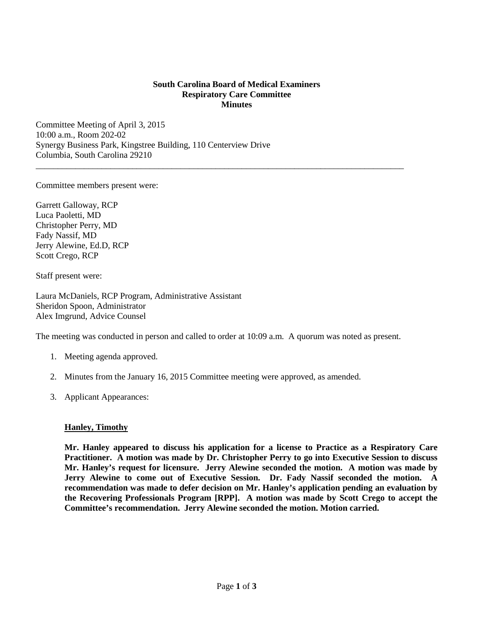## **South Carolina Board of Medical Examiners Respiratory Care Committee Minutes**

\_\_\_\_\_\_\_\_\_\_\_\_\_\_\_\_\_\_\_\_\_\_\_\_\_\_\_\_\_\_\_\_\_\_\_\_\_\_\_\_\_\_\_\_\_\_\_\_\_\_\_\_\_\_\_\_\_\_\_\_\_\_\_\_\_\_\_\_\_\_\_\_\_\_\_\_\_\_\_\_\_\_\_\_

Committee Meeting of April 3, 2015 10:00 a.m., Room 202-02 Synergy Business Park, Kingstree Building, 110 Centerview Drive Columbia, South Carolina 29210

Committee members present were:

Garrett Galloway, RCP Luca Paoletti, MD Christopher Perry, MD Fady Nassif, MD Jerry Alewine, Ed.D, RCP Scott Crego, RCP

Staff present were:

Laura McDaniels, RCP Program, Administrative Assistant Sheridon Spoon, Administrator Alex Imgrund, Advice Counsel

The meeting was conducted in person and called to order at 10:09 a.m. A quorum was noted as present.

- 1. Meeting agenda approved.
- 2. Minutes from the January 16, 2015 Committee meeting were approved, as amended.
- 3. Applicant Appearances:

## **Hanley, Timothy**

**Mr. Hanley appeared to discuss his application for a license to Practice as a Respiratory Care Practitioner. A motion was made by Dr. Christopher Perry to go into Executive Session to discuss Mr. Hanley's request for licensure. Jerry Alewine seconded the motion. A motion was made by Jerry Alewine to come out of Executive Session. Dr. Fady Nassif seconded the motion. A recommendation was made to defer decision on Mr. Hanley's application pending an evaluation by the Recovering Professionals Program [RPP]. A motion was made by Scott Crego to accept the Committee's recommendation. Jerry Alewine seconded the motion. Motion carried.**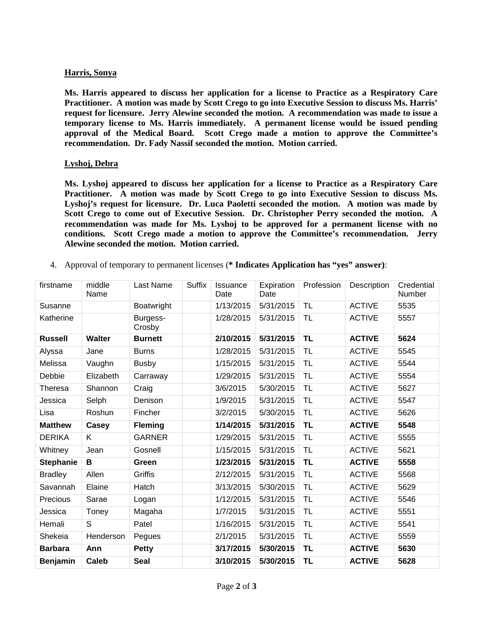## **Harris, Sonya**

**Ms. Harris appeared to discuss her application for a license to Practice as a Respiratory Care Practitioner. A motion was made by Scott Crego to go into Executive Session to discuss Ms. Harris' request for licensure. Jerry Alewine seconded the motion. A recommendation was made to issue a temporary license to Ms. Harris immediately. A permanent license would be issued pending approval of the Medical Board. Scott Crego made a motion to approve the Committee's recommendation. Dr. Fady Nassif seconded the motion. Motion carried.** 

## **Lyshoj, Debra**

**Ms. Lyshoj appeared to discuss her application for a license to Practice as a Respiratory Care Practitioner. A motion was made by Scott Crego to go into Executive Session to discuss Ms. Lyshoj's request for licensure. Dr. Luca Paoletti seconded the motion. A motion was made by Scott Crego to come out of Executive Session. Dr. Christopher Perry seconded the motion. A recommendation was made for Ms. Lyshoj to be approved for a permanent license with no conditions. Scott Crego made a motion to approve the Committee's recommendation. Jerry Alewine seconded the motion. Motion carried.** 

4. Approval of temporary to permanent licenses (**\* Indicates Application has "yes" answer)**:

| firstname        | middle<br>Name | Last Name          | <b>Suffix</b> | Issuance<br>Date | Expiration<br>Date | Profession | Description   | Credential<br>Number |
|------------------|----------------|--------------------|---------------|------------------|--------------------|------------|---------------|----------------------|
| Susanne          |                | Boatwright         |               | 1/13/2015        | 5/31/2015          | TL         | <b>ACTIVE</b> | 5535                 |
| Katherine        |                | Burgess-<br>Crosby |               | 1/28/2015        | 5/31/2015          | TL         | <b>ACTIVE</b> | 5557                 |
| <b>Russell</b>   | <b>Walter</b>  | <b>Burnett</b>     |               | 2/10/2015        | 5/31/2015          | TL         | <b>ACTIVE</b> | 5624                 |
| Alyssa           | Jane           | <b>Burns</b>       |               | 1/28/2015        | 5/31/2015          | TL         | <b>ACTIVE</b> | 5545                 |
| Melissa          | Vaughn         | <b>Busby</b>       |               | 1/15/2015        | 5/31/2015          | <b>TL</b>  | <b>ACTIVE</b> | 5544                 |
| Debbie           | Elizabeth      | Carraway           |               | 1/29/2015        | 5/31/2015          | TL         | <b>ACTIVE</b> | 5554                 |
| Theresa          | Shannon        | Craig              |               | 3/6/2015         | 5/30/2015          | TL         | <b>ACTIVE</b> | 5627                 |
| Jessica          | Selph          | Denison            |               | 1/9/2015         | 5/31/2015          | TL         | <b>ACTIVE</b> | 5547                 |
| Lisa             | Roshun         | Fincher            |               | 3/2/2015         | 5/30/2015          | TL         | <b>ACTIVE</b> | 5626                 |
| <b>Matthew</b>   | Casey          | <b>Fleming</b>     |               | 1/14/2015        | 5/31/2015          | <b>TL</b>  | <b>ACTIVE</b> | 5548                 |
| <b>DERIKA</b>    | K              | <b>GARNER</b>      |               | 1/29/2015        | 5/31/2015          | TL         | <b>ACTIVE</b> | 5555                 |
| Whitney          | Jean           | Gosnell            |               | 1/15/2015        | 5/31/2015          | TL         | <b>ACTIVE</b> | 5621                 |
| <b>Stephanie</b> | В              | Green              |               | 1/23/2015        | 5/31/2015          | <b>TL</b>  | <b>ACTIVE</b> | 5558                 |
| <b>Bradley</b>   | Allen          | Griffis            |               | 2/12/2015        | 5/31/2015          | TL         | <b>ACTIVE</b> | 5568                 |
| Savannah         | Elaine         | Hatch              |               | 3/13/2015        | 5/30/2015          | <b>TL</b>  | <b>ACTIVE</b> | 5629                 |
| Precious         | Sarae          | Logan              |               | 1/12/2015        | 5/31/2015          | TL         | <b>ACTIVE</b> | 5546                 |
| Jessica          | Toney          | Magaha             |               | 1/7/2015         | 5/31/2015          | <b>TL</b>  | <b>ACTIVE</b> | 5551                 |
| Hemali           | S              | Patel              |               | 1/16/2015        | 5/31/2015          | TL         | <b>ACTIVE</b> | 5541                 |
| Shekeia          | Henderson      | Pegues             |               | 2/1/2015         | 5/31/2015          | TL         | <b>ACTIVE</b> | 5559                 |
| <b>Barbara</b>   | Ann            | <b>Petty</b>       |               | 3/17/2015        | 5/30/2015          | <b>TL</b>  | <b>ACTIVE</b> | 5630                 |
| <b>Benjamin</b>  | <b>Caleb</b>   | <b>Seal</b>        |               | 3/10/2015        | 5/30/2015          | <b>TL</b>  | <b>ACTIVE</b> | 5628                 |